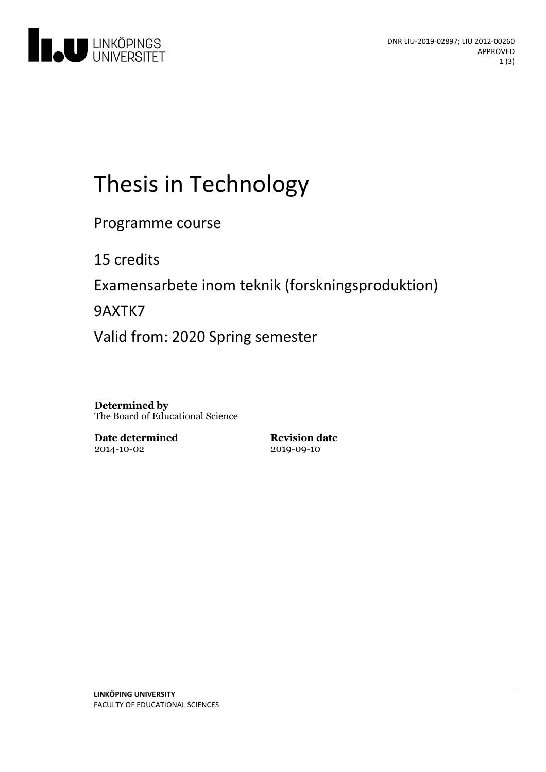

# Thesis in Technology

Programme course

15 credits

Examensarbete inom teknik (forskningsproduktion)

9AXTK7

Valid from: 2020 Spring semester

**Determined by** The Board of Educational Science

**Date determined** 2014-10-02

**Revision date** 2019-09-10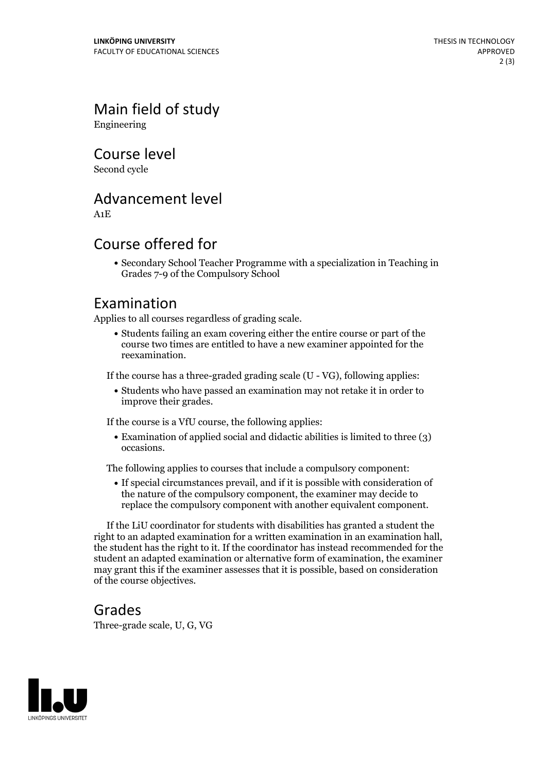Main field of study Engineering

Course level

Second cycle

# Advancement level

A1E

# Course offered for

Secondary School Teacher Programme with a specialization in Teaching in Grades 7-9 of the Compulsory School

# Examination

Applies to all courses regardless of grading scale.

Students failing an exam covering either the entire course or part of the course two times are entitled to have a new examiner appointed for the reexamination.

If the course has a three-graded grading scale (U - VG), following applies:

Students who have passed an examination may not retake it in order to improve their grades.

If the course is a VfU course, the following applies:

Examination of applied social and didactic abilities is limited to three (3) occasions.

The following applies to courses that include a compulsory component:

If special circumstances prevail, and if it is possible with consideration of the nature of the compulsory component, the examiner may decide to replace the compulsory component with another equivalent component.

If the LiU coordinator for students with disabilities has granted a student the right to an adapted examination for <sup>a</sup> written examination in an examination hall, the student has the right to it. If the coordinator has instead recommended for the student an adapted examination or alternative form of examination, the examiner may grant this if the examiner assesses that it is possible, based on consideration of the course objectives.

### Grades

Three-grade scale, U, G, VG